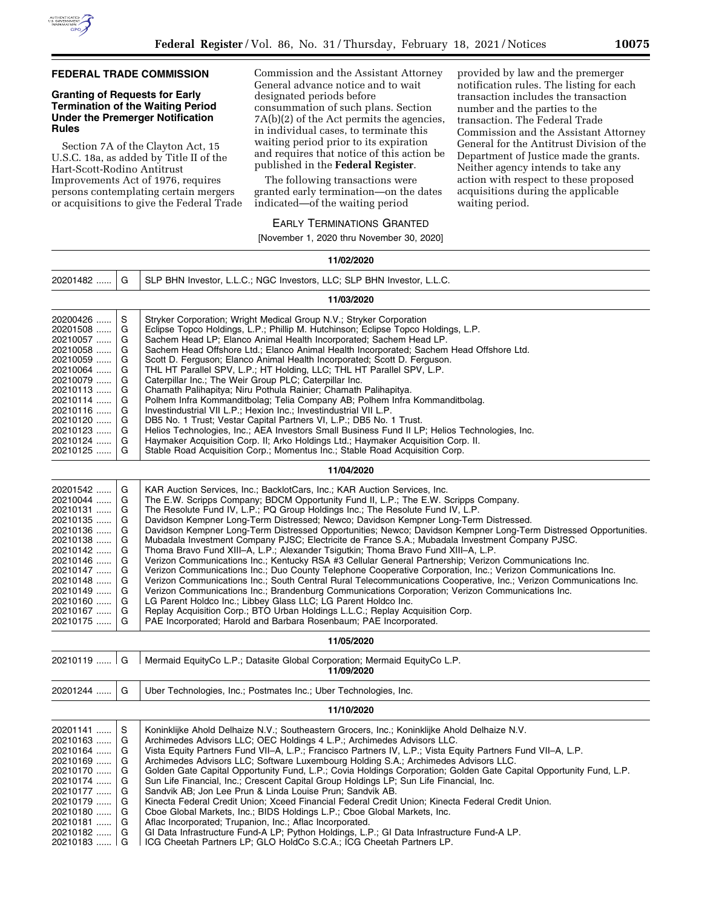

# **FEDERAL TRADE COMMISSION**

# **Granting of Requests for Early Termination of the Waiting Period Under the Premerger Notification Rules**

Section 7A of the Clayton Act, 15 U.S.C. 18a, as added by Title II of the Hart-Scott-Rodino Antitrust Improvements Act of 1976, requires persons contemplating certain mergers or acquisitions to give the Federal Trade Commission and the Assistant Attorney General advance notice and to wait designated periods before consummation of such plans. Section 7A(b)(2) of the Act permits the agencies, in individual cases, to terminate this waiting period prior to its expiration and requires that notice of this action be published in the **Federal Register**.

The following transactions were granted early termination—on the dates indicated—of the waiting period

provided by law and the premerger notification rules. The listing for each transaction includes the transaction number and the parties to the transaction. The Federal Trade Commission and the Assistant Attorney General for the Antitrust Division of the Department of Justice made the grants. Neither agency intends to take any action with respect to these proposed acquisitions during the applicable waiting period.

#### EARLY TERMINATIONS GRANTED

[November 1, 2020 thru November 30, 2020]

| 11/02/2020   |   |                                                                                                                                                                                                                        |
|--------------|---|------------------------------------------------------------------------------------------------------------------------------------------------------------------------------------------------------------------------|
| 20201482     | G | SLP BHN Investor, L.L.C.; NGC Investors, LLC; SLP BHN Investor, L.L.C.                                                                                                                                                 |
|              |   | 11/03/2020                                                                                                                                                                                                             |
| 20200426     | S | Stryker Corporation; Wright Medical Group N.V.; Stryker Corporation                                                                                                                                                    |
| 20201508     | G | Eclipse Topco Holdings, L.P.; Phillip M. Hutchinson; Eclipse Topco Holdings, L.P.                                                                                                                                      |
| 20210057     | G | Sachem Head LP; Elanco Animal Health Incorporated; Sachem Head LP.                                                                                                                                                     |
| 20210058     | G | Sachem Head Offshore Ltd.; Elanco Animal Health Incorporated; Sachem Head Offshore Ltd.                                                                                                                                |
| 20210059     | G | Scott D. Ferguson; Elanco Animal Health Incorporated; Scott D. Ferguson.                                                                                                                                               |
| 20210064     | G | THL HT Parallel SPV, L.P.; HT Holding, LLC; THL HT Parallel SPV, L.P.                                                                                                                                                  |
| 20210079     | G | Caterpillar Inc.; The Weir Group PLC; Caterpillar Inc.                                                                                                                                                                 |
| 20210113     | G | Chamath Palihapitya; Niru Pothula Rainier; Chamath Palihapitya.                                                                                                                                                        |
| 20210114     | G | Polhem Infra Kommanditbolag; Telia Company AB; Polhem Infra Kommanditbolag.                                                                                                                                            |
| 20210116     | G | Investindustrial VII L.P.; Hexion Inc.; Investindustrial VII L.P.                                                                                                                                                      |
| 20210120     | G | DB5 No. 1 Trust; Vestar Capital Partners VI, L.P.; DB5 No. 1 Trust.                                                                                                                                                    |
| 20210123     | G | Helios Technologies, Inc.; AEA Investors Small Business Fund II LP; Helios Technologies, Inc.                                                                                                                          |
| 20210124     | G | Haymaker Acquisition Corp. II; Arko Holdings Ltd.; Haymaker Acquisition Corp. II.                                                                                                                                      |
| 20210125     | G | Stable Road Acquisition Corp.; Momentus Inc.; Stable Road Acquisition Corp.                                                                                                                                            |
|              |   | 11/04/2020                                                                                                                                                                                                             |
| 20201542     | G | KAR Auction Services, Inc.; BacklotCars, Inc.; KAR Auction Services, Inc.                                                                                                                                              |
| 20210044     | G | The E.W. Scripps Company; BDCM Opportunity Fund II, L.P.; The E.W. Scripps Company.                                                                                                                                    |
| 20210131     | G | The Resolute Fund IV, L.P.; PQ Group Holdings Inc.; The Resolute Fund IV, L.P.                                                                                                                                         |
| 20210135     | G | Davidson Kempner Long-Term Distressed; Newco; Davidson Kempner Long-Term Distressed.                                                                                                                                   |
| 20210136     | G | Davidson Kempner Long-Term Distressed Opportunities; Newco; Davidson Kempner Long-Term Distressed Opportunities.                                                                                                       |
| 20210138     | G | Mubadala Investment Company PJSC; Electricite de France S.A.; Mubadala Investment Company PJSC.                                                                                                                        |
| 20210142     | G | Thoma Bravo Fund XIII–A, L.P.; Alexander Tsigutkin; Thoma Bravo Fund XIII–A, L.P.                                                                                                                                      |
| 20210146     | G | Verizon Communications Inc.; Kentucky RSA #3 Cellular General Partnership; Verizon Communications Inc.                                                                                                                 |
| 20210147     | G | Verizon Communications Inc.; Duo County Telephone Cooperative Corporation, Inc.; Verizon Communications Inc.                                                                                                           |
| 20210148     | G |                                                                                                                                                                                                                        |
|              | G | Verizon Communications Inc.; South Central Rural Telecommunications Cooperative, Inc.; Verizon Communications Inc.<br>Verizon Communications Inc.; Brandenburg Communications Corporation; Verizon Communications Inc. |
| 20210149     | G | LG Parent Holdco Inc.; Libbey Glass LLC; LG Parent Holdco Inc.                                                                                                                                                         |
| 20210160     |   |                                                                                                                                                                                                                        |
| 20210167     | G | Replay Acquisition Corp.; BTO Urban Holdings L.L.C.; Replay Acquisition Corp.                                                                                                                                          |
| 20210175     | G | PAE Incorporated; Harold and Barbara Rosenbaum; PAE Incorporated.                                                                                                                                                      |
|              |   | 11/05/2020                                                                                                                                                                                                             |
| $20210119$ G |   | Mermaid EquityCo L.P.; Datasite Global Corporation; Mermaid EquityCo L.P.<br>11/09/2020                                                                                                                                |
| 20201244     | G | Uber Technologies, Inc.; Postmates Inc.; Uber Technologies, Inc.                                                                                                                                                       |
|              |   | 11/10/2020                                                                                                                                                                                                             |
| 20201141     | S | Koninklijke Ahold Delhaize N.V.; Southeastern Grocers, Inc.; Koninklijke Ahold Delhaize N.V.                                                                                                                           |
| 20210163     | G | Archimedes Advisors LLC; OEC Holdings 4 L.P.; Archimedes Advisors LLC.                                                                                                                                                 |
| 20210164     | G | Vista Equity Partners Fund VII-A, L.P.; Francisco Partners IV, L.P.; Vista Equity Partners Fund VII-A, L.P.                                                                                                            |
| 20210169     | G | Archimedes Advisors LLC; Software Luxembourg Holding S.A.; Archimedes Advisors LLC.                                                                                                                                    |
| 20210170     | G | Golden Gate Capital Opportunity Fund, L.P.; Covia Holdings Corporation; Golden Gate Capital Opportunity Fund, L.P.                                                                                                     |
| 20210174     | G | Sun Life Financial, Inc.; Crescent Capital Group Holdings LP; Sun Life Financial, Inc.                                                                                                                                 |
| 20210177     | G | Sandvik AB; Jon Lee Prun & Linda Louise Prun; Sandvik AB.                                                                                                                                                              |
|              | G |                                                                                                                                                                                                                        |
| 20210179     |   | Kinecta Federal Credit Union; Xceed Financial Federal Credit Union; Kinecta Federal Credit Union.                                                                                                                      |
| 20210180     | G | Cboe Global Markets, Inc.; BIDS Holdings L.P.; Cboe Global Markets, Inc.                                                                                                                                               |
| 20210181     | G | Aflac Incorporated; Trupanion, Inc.; Aflac Incorporated.                                                                                                                                                               |
| 20210182     | G | GI Data Infrastructure Fund-A LP; Python Holdings, L.P.; GI Data Infrastructure Fund-A LP.                                                                                                                             |
| 20210183  G  |   | ICG Cheetah Partners LP; GLO HoldCo S.C.A.; ICG Cheetah Partners LP.                                                                                                                                                   |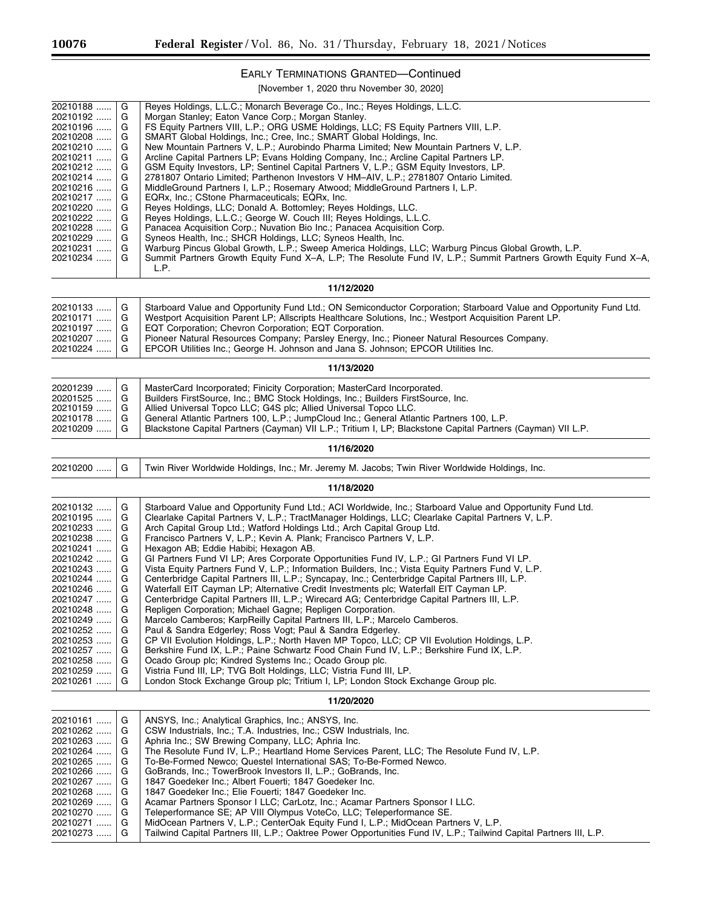$\equiv$ 

Ξ

# EARLY TERMINATIONS GRANTED—Continued

[November 1, 2020 thru November 30, 2020]

| 20210188<br>20210192<br>20210196<br>20210208<br>20210210<br>20210211<br>20210212<br>20210214<br>20210216<br>20210217<br>20210220<br>20210222<br>20210228<br>20210229<br>20210231<br>20210234                         | G<br>G<br>G<br>G<br>G<br>G<br>G<br>G<br>G<br>G<br>G<br>G<br>G<br>G<br>G<br>G           | Reyes Holdings, L.L.C.; Monarch Beverage Co., Inc.; Reyes Holdings, L.L.C.<br>Morgan Stanley; Eaton Vance Corp.; Morgan Stanley.<br>FS Equity Partners VIII, L.P.; ORG USME Holdings, LLC; FS Equity Partners VIII, L.P.<br>SMART Global Holdings, Inc.; Cree, Inc.; SMART Global Holdings, Inc.<br>New Mountain Partners V, L.P.; Aurobindo Pharma Limited; New Mountain Partners V, L.P.<br>Arcline Capital Partners LP; Evans Holding Company, Inc.; Arcline Capital Partners LP.<br>GSM Equity Investors, LP; Sentinel Capital Partners V, L.P.; GSM Equity Investors, LP.<br>2781807 Ontario Limited; Parthenon Investors V HM-AIV, L.P.; 2781807 Ontario Limited.<br>MiddleGround Partners I, L.P.; Rosemary Atwood; MiddleGround Partners I, L.P.<br>EQRx, Inc.; CStone Pharmaceuticals; EQRx, Inc.<br>Reyes Holdings, LLC; Donald A. Bottomley; Reyes Holdings, LLC.<br>Reves Holdings, L.L.C.; George W. Couch III; Reves Holdings, L.L.C.<br>Panacea Acquisition Corp.; Nuvation Bio Inc.; Panacea Acquisition Corp.<br>Syneos Health, Inc.; SHCR Holdings, LLC; Syneos Health, Inc.<br>Warburg Pincus Global Growth, L.P.; Sweep America Holdings, LLC; Warburg Pincus Global Growth, L.P.<br>Summit Partners Growth Equity Fund X-A, L.P; The Resolute Fund IV, L.P.; Summit Partners Growth Equity Fund X-A,<br>L.P.                                                                                                                                                                                                                          |
|----------------------------------------------------------------------------------------------------------------------------------------------------------------------------------------------------------------------|----------------------------------------------------------------------------------------|------------------------------------------------------------------------------------------------------------------------------------------------------------------------------------------------------------------------------------------------------------------------------------------------------------------------------------------------------------------------------------------------------------------------------------------------------------------------------------------------------------------------------------------------------------------------------------------------------------------------------------------------------------------------------------------------------------------------------------------------------------------------------------------------------------------------------------------------------------------------------------------------------------------------------------------------------------------------------------------------------------------------------------------------------------------------------------------------------------------------------------------------------------------------------------------------------------------------------------------------------------------------------------------------------------------------------------------------------------------------------------------------------------------------------------------------------------------------------------------------------------------------------------------------------------|
|                                                                                                                                                                                                                      |                                                                                        | 11/12/2020                                                                                                                                                                                                                                                                                                                                                                                                                                                                                                                                                                                                                                                                                                                                                                                                                                                                                                                                                                                                                                                                                                                                                                                                                                                                                                                                                                                                                                                                                                                                                 |
| 20210133<br>20210171<br>20210197<br>20210207<br>20210224                                                                                                                                                             | G<br>G<br>G<br>G<br>G                                                                  | Starboard Value and Opportunity Fund Ltd.; ON Semiconductor Corporation; Starboard Value and Opportunity Fund Ltd.<br>Westport Acquisition Parent LP; Allscripts Healthcare Solutions, Inc.; Westport Acquisition Parent LP.<br>EQT Corporation; Chevron Corporation; EQT Corporation.<br>Pioneer Natural Resources Company; Parsley Energy, Inc.; Pioneer Natural Resources Company.<br>EPCOR Utilities Inc.; George H. Johnson and Jana S. Johnson; EPCOR Utilities Inc.                                                                                                                                                                                                                                                                                                                                                                                                                                                                                                                                                                                                                                                                                                                                                                                                                                                                                                                                                                                                                                                                                 |
|                                                                                                                                                                                                                      |                                                                                        | 11/13/2020                                                                                                                                                                                                                                                                                                                                                                                                                                                                                                                                                                                                                                                                                                                                                                                                                                                                                                                                                                                                                                                                                                                                                                                                                                                                                                                                                                                                                                                                                                                                                 |
| 20201239<br>20201525<br>20210159<br>20210178<br>20210209                                                                                                                                                             | G<br>G<br>G<br>G<br>G                                                                  | MasterCard Incorporated; Finicity Corporation; MasterCard Incorporated.<br>Builders FirstSource, Inc.; BMC Stock Holdings, Inc.; Builders FirstSource, Inc.<br>Allied Universal Topco LLC; G4S plc; Allied Universal Topco LLC.<br>General Atlantic Partners 100, L.P.; JumpCloud Inc.; General Atlantic Partners 100, L.P.<br>Blackstone Capital Partners (Cayman) VII L.P.; Tritium I, LP; Blackstone Capital Partners (Cayman) VII L.P.                                                                                                                                                                                                                                                                                                                                                                                                                                                                                                                                                                                                                                                                                                                                                                                                                                                                                                                                                                                                                                                                                                                 |
|                                                                                                                                                                                                                      |                                                                                        | 11/16/2020                                                                                                                                                                                                                                                                                                                                                                                                                                                                                                                                                                                                                                                                                                                                                                                                                                                                                                                                                                                                                                                                                                                                                                                                                                                                                                                                                                                                                                                                                                                                                 |
| 20210200                                                                                                                                                                                                             | G                                                                                      | Twin River Worldwide Holdings, Inc.; Mr. Jeremy M. Jacobs; Twin River Worldwide Holdings, Inc.                                                                                                                                                                                                                                                                                                                                                                                                                                                                                                                                                                                                                                                                                                                                                                                                                                                                                                                                                                                                                                                                                                                                                                                                                                                                                                                                                                                                                                                             |
|                                                                                                                                                                                                                      |                                                                                        | 11/18/2020                                                                                                                                                                                                                                                                                                                                                                                                                                                                                                                                                                                                                                                                                                                                                                                                                                                                                                                                                                                                                                                                                                                                                                                                                                                                                                                                                                                                                                                                                                                                                 |
| 20210132<br>20210195<br>20210233<br>20210238<br>20210241<br>20210242<br>20210243<br>20210244<br>20210246<br>20210247<br>20210248<br>20210249<br>20210252<br>20210253<br>20210257<br>20210258<br>20210259<br>20210261 | G<br>G<br>G<br>G<br>G<br>G<br>G<br>G<br>G<br>G<br>G<br>G<br>G<br>G<br>G<br>G<br>G<br>G | Starboard Value and Opportunity Fund Ltd.; ACI Worldwide, Inc.; Starboard Value and Opportunity Fund Ltd.<br>Clearlake Capital Partners V, L.P.; TractManager Holdings, LLC; Clearlake Capital Partners V, L.P.<br>Arch Capital Group Ltd.; Watford Holdings Ltd.; Arch Capital Group Ltd.<br>Francisco Partners V, L.P.; Kevin A. Plank; Francisco Partners V, L.P.<br>Hexagon AB; Eddie Habibi; Hexagon AB.<br>GI Partners Fund VI LP; Ares Corporate Opportunities Fund IV, L.P.; GI Partners Fund VI LP.<br>Vista Equity Partners Fund V, L.P.; Information Builders, Inc.; Vista Equity Partners Fund V, L.P.<br>Centerbridge Capital Partners III, L.P.; Syncapay, Inc.; Centerbridge Capital Partners III, L.P.<br>Waterfall EIT Cayman LP; Alternative Credit Investments plc; Waterfall EIT Cayman LP.<br>Centerbridge Capital Partners III, L.P.; Wirecard AG; Centerbridge Capital Partners III, L.P.<br>Repligen Corporation; Michael Gagne; Repligen Corporation.<br>Marcelo Camberos; KarpReilly Capital Partners III, L.P.; Marcelo Camberos.<br>Paul & Sandra Edgerley; Ross Vogt; Paul & Sandra Edgerley.<br>CP VII Evolution Holdings, L.P.; North Haven MP Topco, LLC; CP VII Evolution Holdings, L.P.<br>Berkshire Fund IX, L.P.; Paine Schwartz Food Chain Fund IV, L.P.; Berkshire Fund IX, L.P.<br>Ocado Group plc; Kindred Systems Inc.; Ocado Group plc.<br>Vistria Fund III, LP; TVG Bolt Holdings, LLC; Vistria Fund III, LP.<br>London Stock Exchange Group plc; Tritium I, LP; London Stock Exchange Group plc.<br>11/20/2020 |
|                                                                                                                                                                                                                      |                                                                                        |                                                                                                                                                                                                                                                                                                                                                                                                                                                                                                                                                                                                                                                                                                                                                                                                                                                                                                                                                                                                                                                                                                                                                                                                                                                                                                                                                                                                                                                                                                                                                            |
| 20210161<br>20210262<br>20210263<br>20210264<br>20210265<br>20210266<br>20210267<br>20210268<br>20210269<br>20210270<br>20210271<br>20210273                                                                         | G<br>G<br>G<br>G<br>G<br>G<br>G<br>G<br>G<br>G<br>G<br>G                               | ANSYS, Inc.; Analytical Graphics, Inc.; ANSYS, Inc.<br>CSW Industrials, Inc.; T.A. Industries, Inc.; CSW Industrials, Inc.<br>Aphria Inc.; SW Brewing Company, LLC; Aphria Inc.<br>The Resolute Fund IV, L.P.; Heartland Home Services Parent, LLC; The Resolute Fund IV, L.P.<br>To-Be-Formed Newco; Questel International SAS; To-Be-Formed Newco.<br>GoBrands, Inc.; TowerBrook Investors II, L.P.; GoBrands, Inc.<br>1847 Goedeker Inc.; Albert Fouerti; 1847 Goedeker Inc.<br>1847 Goedeker Inc.; Elie Fouerti; 1847 Goedeker Inc.<br>Acamar Partners Sponsor I LLC; CarLotz, Inc.; Acamar Partners Sponsor I LLC.<br>Teleperformance SE; AP VIII Olympus VoteCo, LLC; Teleperformance SE.<br>MidOcean Partners V, L.P.; CenterOak Equity Fund I, L.P.; MidOcean Partners V, L.P.<br>Tailwind Capital Partners III, L.P.; Oaktree Power Opportunities Fund IV, L.P.; Tailwind Capital Partners III, L.P.                                                                                                                                                                                                                                                                                                                                                                                                                                                                                                                                                                                                                                              |